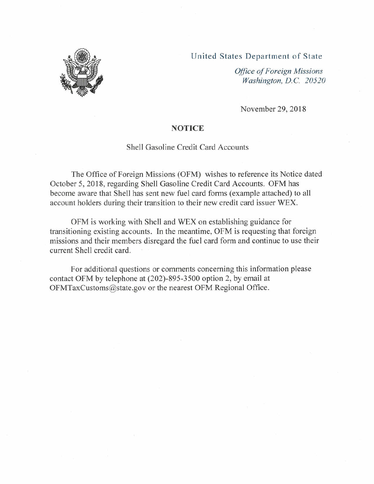## United States Department of State



*Office of Foreign Missions Washington, D.*C. *20520*

November 29,2018

## **NOTICE**

## Shell Gasoline Credit Card Accounts

The Office of Foreign Missions (OFM) wishes to reference its Notice dated October 5, 2018, regarding Shell Gasoline Credit Card Accounts. OFM has become aware that Shell has sent new fuel card forms (example attached) to all account holders during their transition to their new credit card issuer WEX.

OFM is working with Shell and WEX on establishing guidance for transitioning existing accounts. In the meantime, OFM is requesting that foreign missions and their members disregard the fuel card form and continue to use their current Shell credit card.

For additional questions or comments concerning this information please contact OFM by telephone at (202)-895-3500 option 2, by email at [OFMTaxCustoms@state.gov](mailto:OFMTaxCustoms@state.gov) or the nearest OFM Regional Office.